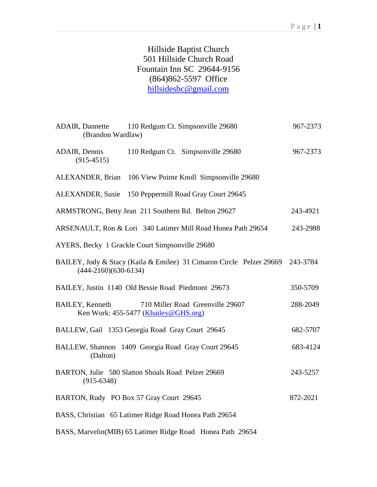## Hillside Baptist Church 501 Hillside Church Road Fountain Inn SC 29644-9156 (864)862-5597 Office [hillsidesbc@gmail.com](mailto:hillsidesbc@gmail.com)

| (Brandon Wardlaw)                     | ADAIR, Dannette 110 Redgum Ct. Simpsonville 29680                        | 967-2373 |
|---------------------------------------|--------------------------------------------------------------------------|----------|
| <b>ADAIR</b> , Dennis<br>$(915-4515)$ | 110 Redgum Ct. Simpsonville 29680                                        | 967-2373 |
|                                       | ALEXANDER, Brian 106 View Pointe Knoll Simpsonville 29680                |          |
|                                       | ALEXANDER, Susie 150 Peppermill Road Gray Court 29645                    |          |
|                                       | ARMSTRONG, Betty Jean 211 Southern Rd. Belton 29627                      | 243-4921 |
|                                       | ARSENAULT, Ron & Lori 340 Latimer Mill Road Honea Path 29654             | 243-2988 |
|                                       | AYERS, Becky 1 Grackle Court Simpsonville 29680                          |          |
| $(444 - 2160)(630 - 6134)$            | BAILEY, Jody & Stacy (Kaila & Emilee) 31 Cimaron Circle Pelzer 29669     | 243-3784 |
|                                       | BAILEY, Justin 1140 Old Bessie Road Piedmont 29673                       | 350-5709 |
| <b>BAILEY</b> , Kenneth               | 710 Miller Road Greenville 29607<br>Ken Work: 455-5477 (Kbailey@GHS.org) | 288-2049 |
|                                       | BALLEW, Gail 1353 Georgia Road Gray Court 29645                          | 682-5707 |
| (Dalton)                              | BALLEW, Shannon 1409 Georgia Road Gray Court 29645                       | 683-4124 |
| $(915-6348)$                          | BARTON, Julie 580 Slatton Shoals Road Pelzer 29669                       | 243-5257 |
|                                       | BARTON, Rudy PO Box 57 Gray Court 29645                                  | 872-2021 |
|                                       | BASS, Christian 65 Latimer Ridge Road Honea Path 29654                   |          |
|                                       | BASS, Marvelin(MIB) 65 Latimer Ridge Road Honea Path 29654               |          |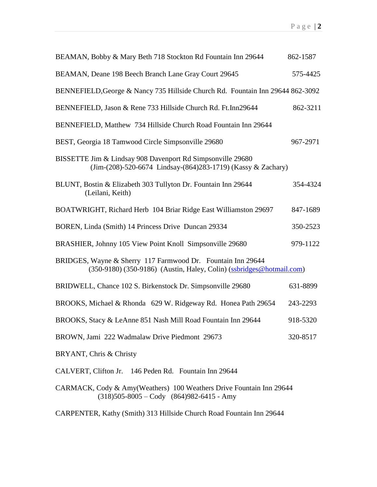| BEAMAN, Bobby & Mary Beth 718 Stockton Rd Fountain Inn 29644                                                                        | 862-1587 |
|-------------------------------------------------------------------------------------------------------------------------------------|----------|
| BEAMAN, Deane 198 Beech Branch Lane Gray Court 29645                                                                                | 575-4425 |
| BENNEFIELD, George & Nancy 735 Hillside Church Rd. Fountain Inn 29644 862-3092                                                      |          |
| BENNEFIELD, Jason & Rene 733 Hillside Church Rd. Ft.Inn29644                                                                        | 862-3211 |
| BENNEFIELD, Matthew 734 Hillside Church Road Fountain Inn 29644                                                                     |          |
| BEST, Georgia 18 Tamwood Circle Simpsonville 29680                                                                                  | 967-2971 |
| BISSETTE Jim & Lindsay 908 Davenport Rd Simpsonville 29680<br>(Jim-(208)-520-6674 Lindsay-(864)283-1719) (Kassy & Zachary)          |          |
| BLUNT, Bostin & Elizabeth 303 Tullyton Dr. Fountain Inn 29644<br>(Leilani, Keith)                                                   | 354-4324 |
| BOATWRIGHT, Richard Herb 104 Briar Ridge East Williamston 29697                                                                     | 847-1689 |
| BOREN, Linda (Smith) 14 Princess Drive Duncan 29334                                                                                 | 350-2523 |
| BRASHIER, Johnny 105 View Point Knoll Simpsonville 29680                                                                            | 979-1122 |
| BRIDGES, Wayne & Sherry 117 Farmwood Dr. Fountain Inn 29644<br>(350-9180) (350-9186) (Austin, Haley, Colin) (ssbridges@hotmail.com) |          |
| BRIDWELL, Chance 102 S. Birkenstock Dr. Simpsonville 29680                                                                          | 631-8899 |
| BROOKS, Michael & Rhonda 629 W. Ridgeway Rd. Honea Path 29654                                                                       | 243-2293 |
| BROOKS, Stacy & LeAnne 851 Nash Mill Road Fountain Inn 29644                                                                        | 918-5320 |
| BROWN, Jami 222 Wadmalaw Drive Piedmont 29673                                                                                       | 320-8517 |
| BRYANT, Chris & Christy                                                                                                             |          |
| CALVERT, Clifton Jr. 146 Peden Rd. Fountain Inn 29644                                                                               |          |
| CARMACK, Cody & Amy(Weathers) 100 Weathers Drive Fountain Inn 29644                                                                 |          |

CARPENTER, Kathy (Smith) 313 Hillside Church Road Fountain Inn 29644

 $(318)505-8005 - \text{Cody}$   $(864)982-6415$  - Amy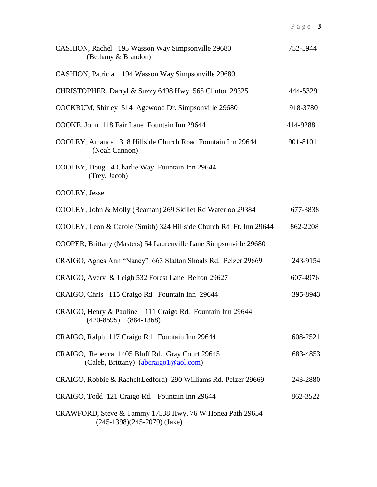| CASHION, Rachel 195 Wasson Way Simpsonville 29680<br>(Bethany & Brandon)                  | 752-5944 |
|-------------------------------------------------------------------------------------------|----------|
| CASHION, Patricia 194 Wasson Way Simpsonville 29680                                       |          |
| CHRISTOPHER, Darryl & Suzzy 6498 Hwy. 565 Clinton 29325                                   | 444-5329 |
| COCKRUM, Shirley 514 Agewood Dr. Simpsonville 29680                                       | 918-3780 |
| COOKE, John 118 Fair Lane Fountain Inn 29644                                              | 414-9288 |
| COOLEY, Amanda 318 Hillside Church Road Fountain Inn 29644<br>(Noah Cannon)               | 901-8101 |
| COOLEY, Doug 4 Charlie Way Fountain Inn 29644<br>(Trey, Jacob)                            |          |
| COOLEY, Jesse                                                                             |          |
| COOLEY, John & Molly (Beaman) 269 Skillet Rd Waterloo 29384                               | 677-3838 |
| COOLEY, Leon & Carole (Smith) 324 Hillside Church Rd Ft. Inn 29644                        | 862-2208 |
| COOPER, Brittany (Masters) 54 Laurenville Lane Simpsonville 29680                         |          |
| CRAIGO, Agnes Ann "Nancy" 663 Slatton Shoals Rd. Pelzer 29669                             | 243-9154 |
| CRAIGO, Avery & Leigh 532 Forest Lane Belton 29627                                        | 607-4976 |
| CRAIGO, Chris 115 Craigo Rd Fountain Inn 29644                                            | 395-8943 |
| CRAIGO, Henry & Pauline 111 Craigo Rd. Fountain Inn 29644<br>$(420-8595)$ $(884-1368)$    |          |
| CRAIGO, Ralph 117 Craigo Rd. Fountain Inn 29644                                           | 608-2521 |
| CRAIGO, Rebecca 1405 Bluff Rd. Gray Court 29645<br>(Caleb, Brittany) (abcraigo1@aol.com)  | 683-4853 |
| CRAIGO, Robbie & Rachel(Ledford) 290 Williams Rd. Pelzer 29669                            | 243-2880 |
| CRAIGO, Todd 121 Craigo Rd. Fountain Inn 29644                                            | 862-3522 |
| CRAWFORD, Steve & Tammy 17538 Hwy. 76 W Honea Path 29654<br>$(245-1398)(245-2079)$ (Jake) |          |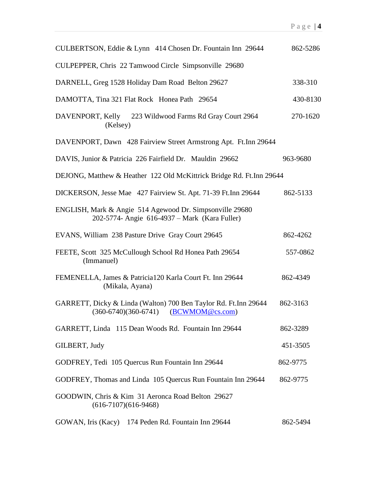| CULBERTSON, Eddie & Lynn 414 Chosen Dr. Fountain Inn 29644                                                  | 862-5286 |
|-------------------------------------------------------------------------------------------------------------|----------|
| CULPEPPER, Chris 22 Tamwood Circle Simpsonville 29680                                                       |          |
| DARNELL, Greg 1528 Holiday Dam Road Belton 29627                                                            | 338-310  |
| DAMOTTA, Tina 321 Flat Rock Honea Path 29654                                                                | 430-8130 |
| DAVENPORT, Kelly 223 Wildwood Farms Rd Gray Court 2964<br>(Kelsey)                                          | 270-1620 |
| DAVENPORT, Dawn 428 Fairview Street Armstrong Apt. Ft.Inn 29644                                             |          |
| DAVIS, Junior & Patricia 226 Fairfield Dr. Mauldin 29662                                                    | 963-9680 |
| DEJONG, Matthew & Heather 122 Old McKittrick Bridge Rd. Ft.Inn 29644                                        |          |
| DICKERSON, Jesse Mae 427 Fairview St. Apt. 71-39 Ft. Inn 29644                                              | 862-5133 |
| ENGLISH, Mark & Angie 514 Agewood Dr. Simpsonville 29680<br>202-5774- Angie 616-4937 – Mark (Kara Fuller)   |          |
| EVANS, William 238 Pasture Drive Gray Court 29645                                                           | 862-4262 |
| FEETE, Scott 325 McCullough School Rd Honea Path 29654<br>(Immanuel)                                        | 557-0862 |
| FEMENELLA, James & Patricia120 Karla Court Ft. Inn 29644<br>(Mikala, Ayana)                                 | 862-4349 |
| GARRETT, Dicky & Linda (Walton) 700 Ben Taylor Rd. Ft.Inn 29644<br>$(360-6740)(360-6741)$ $(BCWMOM@cs.com)$ | 862-3163 |
| GARRETT, Linda 115 Dean Woods Rd. Fountain Inn 29644                                                        | 862-3289 |
| GILBERT, Judy                                                                                               | 451-3505 |
| GODFREY, Tedi 105 Quercus Run Fountain Inn 29644                                                            | 862-9775 |
| GODFREY, Thomas and Linda 105 Quercus Run Fountain Inn 29644                                                | 862-9775 |
| GOODWIN, Chris & Kim 31 Aeronca Road Belton 29627<br>$(616-7107)(616-9468)$                                 |          |
| GOWAN, Iris (Kacy) 174 Peden Rd. Fountain Inn 29644                                                         | 862-5494 |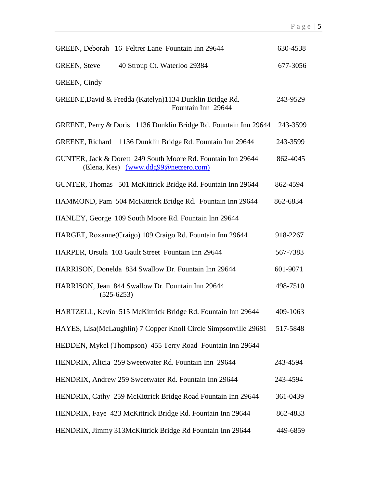| GREEN, Deborah 16 Feltrer Lane Fountain Inn 29644                                                    | 630-4538 |
|------------------------------------------------------------------------------------------------------|----------|
| 40 Stroup Ct. Waterloo 29384<br><b>GREEN, Steve</b>                                                  | 677-3056 |
| GREEN, Cindy                                                                                         |          |
| GREENE, David & Fredda (Katelyn)1134 Dunklin Bridge Rd.<br>Fountain Inn 29644                        | 243-9529 |
| GREENE, Perry & Doris 1136 Dunklin Bridge Rd. Fountain Inn 29644                                     | 243-3599 |
| GREENE, Richard 1136 Dunklin Bridge Rd. Fountain Inn 29644                                           | 243-3599 |
| GUNTER, Jack & Dorett 249 South Moore Rd. Fountain Inn 29644<br>(Elena, Kes) (www.ddg99@netzero.com) | 862-4045 |
| GUNTER, Thomas 501 McKittrick Bridge Rd. Fountain Inn 29644                                          | 862-4594 |
| HAMMOND, Pam 504 McKittrick Bridge Rd. Fountain Inn 29644                                            | 862-6834 |
| HANLEY, George 109 South Moore Rd. Fountain Inn 29644                                                |          |
| HARGET, Roxanne(Craigo) 109 Craigo Rd. Fountain Inn 29644                                            | 918-2267 |
| HARPER, Ursula 103 Gault Street Fountain Inn 29644                                                   | 567-7383 |
| HARRISON, Donelda 834 Swallow Dr. Fountain Inn 29644                                                 | 601-9071 |
| HARRISON, Jean 844 Swallow Dr. Fountain Inn 29644<br>$(525-6253)$                                    | 498-7510 |
| HARTZELL, Kevin 515 McKittrick Bridge Rd. Fountain Inn 29644                                         | 409-1063 |
| HAYES, Lisa(McLaughlin) 7 Copper Knoll Circle Simpsonville 29681                                     | 517-5848 |
| HEDDEN, Mykel (Thompson) 455 Terry Road Fountain Inn 29644                                           |          |
| HENDRIX, Alicia 259 Sweetwater Rd. Fountain Inn 29644                                                | 243-4594 |
| HENDRIX, Andrew 259 Sweetwater Rd. Fountain Inn 29644                                                | 243-4594 |
| HENDRIX, Cathy 259 McKittrick Bridge Road Fountain Inn 29644                                         | 361-0439 |
| HENDRIX, Faye 423 McKittrick Bridge Rd. Fountain Inn 29644                                           | 862-4833 |
| HENDRIX, Jimmy 313McKittrick Bridge Rd Fountain Inn 29644                                            | 449-6859 |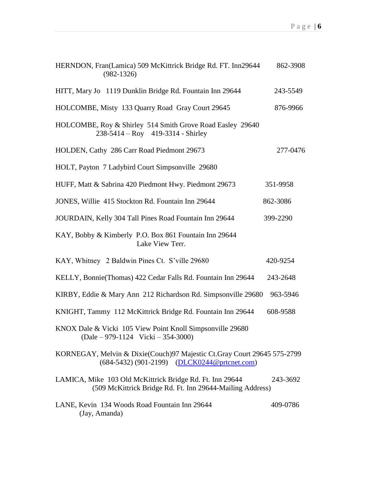| HERNDON, Fran(Lamica) 509 McKittrick Bridge Rd. FT. Inn29644<br>$(982-1326)$                                            | 862-3908 |
|-------------------------------------------------------------------------------------------------------------------------|----------|
| HITT, Mary Jo 1119 Dunklin Bridge Rd. Fountain Inn 29644                                                                | 243-5549 |
| HOLCOMBE, Misty 133 Quarry Road Gray Court 29645                                                                        | 876-9966 |
| HOLCOMBE, Roy & Shirley 514 Smith Grove Road Easley 29640<br>$238-5414 - Roy$ 419-3314 - Shirley                        |          |
| HOLDEN, Cathy 286 Carr Road Piedmont 29673                                                                              | 277-0476 |
| HOLT, Payton 7 Ladybird Court Simpsonville 29680                                                                        |          |
| HUFF, Matt & Sabrina 420 Piedmont Hwy. Piedmont 29673                                                                   | 351-9958 |
| JONES, Willie 415 Stockton Rd. Fountain Inn 29644                                                                       | 862-3086 |
| JOURDAIN, Kelly 304 Tall Pines Road Fountain Inn 29644                                                                  | 399-2290 |
| KAY, Bobby & Kimberly P.O. Box 861 Fountain Inn 29644<br>Lake View Terr.                                                |          |
| KAY, Whitney 2 Baldwin Pines Ct. S'ville 29680                                                                          | 420-9254 |
| KELLY, Bonnie(Thomas) 422 Cedar Falls Rd. Fountain Inn 29644                                                            | 243-2648 |
| KIRBY, Eddie & Mary Ann 212 Richardson Rd. Simpsonville 29680                                                           | 963-5946 |
| KNIGHT, Tammy 112 McKittrick Bridge Rd. Fountain Inn 29644                                                              | 608-9588 |
| KNOX Dale & Vicki 105 View Point Knoll Simpsonville 29680<br>$(Dale - 979-1124 \text{ Vicki} - 354-3000)$               |          |
| KORNEGAY, Melvin & Dixie(Couch)97 Majestic Ct.Gray Court 29645 575-2799<br>(684-5432) (901-2199) (DLCK0244@prtcnet.com) |          |
| LAMICA, Mike 103 Old McKittrick Bridge Rd. Ft. Inn 29644<br>(509 McKittrick Bridge Rd. Ft. Inn 29644-Mailing Address)   | 243-3692 |
| LANE, Kevin 134 Woods Road Fountain Inn 29644<br>(Jay, Amanda)                                                          | 409-0786 |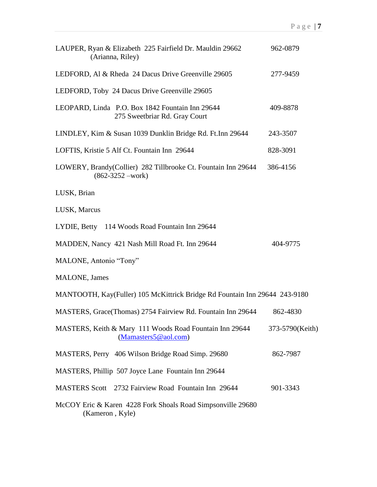| LAUPER, Ryan & Elizabeth 225 Fairfield Dr. Mauldin 29662<br>(Arianna, Riley)           | 962-0879        |
|----------------------------------------------------------------------------------------|-----------------|
| LEDFORD, Al & Rheda 24 Dacus Drive Greenville 29605                                    | 277-9459        |
| LEDFORD, Toby 24 Dacus Drive Greenville 29605                                          |                 |
| LEOPARD, Linda P.O. Box 1842 Fountain Inn 29644<br>275 Sweetbriar Rd. Gray Court       | 409-8878        |
| LINDLEY, Kim & Susan 1039 Dunklin Bridge Rd. Ft.Inn 29644                              | 243-3507        |
| LOFTIS, Kristie 5 Alf Ct. Fountain Inn 29644                                           | 828-3091        |
| LOWERY, Brandy(Collier) 282 Tillbrooke Ct. Fountain Inn 29644<br>$(862 - 3252 - work)$ | 386-4156        |
| LUSK, Brian                                                                            |                 |
| LUSK, Marcus                                                                           |                 |
| LYDIE, Betty 114 Woods Road Fountain Inn 29644                                         |                 |
| MADDEN, Nancy 421 Nash Mill Road Ft. Inn 29644                                         | 404-9775        |
| MALONE, Antonio "Tony"                                                                 |                 |
| <b>MALONE</b> , James                                                                  |                 |
| MANTOOTH, Kay(Fuller) 105 McKittrick Bridge Rd Fountain Inn 29644 243-9180             |                 |
| MASTERS, Grace(Thomas) 2754 Fairview Rd. Fountain Inn 29644                            | 862-4830        |
| MASTERS, Keith & Mary 111 Woods Road Fountain Inn 29644<br>(Mamasters 5@aol.com)       | 373-5790(Keith) |
| MASTERS, Perry 406 Wilson Bridge Road Simp. 29680                                      | 862-7987        |
| MASTERS, Phillip 507 Joyce Lane Fountain Inn 29644                                     |                 |
| MASTERS Scott 2732 Fairview Road Fountain Inn 29644                                    | 901-3343        |
| McCOY Eric & Karen 4228 Fork Shoals Road Simpsonville 29680<br>(Kameron, Kyle)         |                 |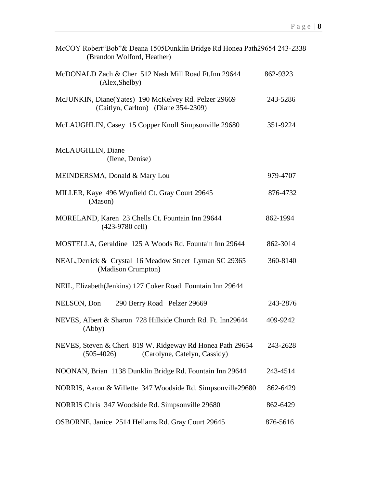| McCOY Robert"Bob"& Deana 1505Dunklin Bridge Rd Honea Path29654 243-2338<br>(Brandon Wolford, Heather)     |          |
|-----------------------------------------------------------------------------------------------------------|----------|
| McDONALD Zach & Cher 512 Nash Mill Road Ft.Inn 29644<br>(Alex, Shelby)                                    | 862-9323 |
| McJUNKIN, Diane(Yates) 190 McKelvey Rd. Pelzer 29669<br>(Caitlyn, Carlton) (Diane 354-2309)               | 243-5286 |
| McLAUGHLIN, Casey 15 Copper Knoll Simpsonville 29680                                                      | 351-9224 |
| McLAUGHLIN, Diane<br>(Ilene, Denise)                                                                      |          |
| MEINDERSMA, Donald & Mary Lou                                                                             | 979-4707 |
| MILLER, Kaye 496 Wynfield Ct. Gray Court 29645<br>(Mason)                                                 | 876-4732 |
| MORELAND, Karen 23 Chells Ct. Fountain Inn 29644<br>$(423-9780$ cell)                                     | 862-1994 |
| MOSTELLA, Geraldine 125 A Woods Rd. Fountain Inn 29644                                                    | 862-3014 |
| NEAL, Derrick & Crystal 16 Meadow Street Lyman SC 29365<br>(Madison Crumpton)                             | 360-8140 |
| NEIL, Elizabeth (Jenkins) 127 Coker Road Fountain Inn 29644                                               |          |
| NELSON, Don<br>290 Berry Road Pelzer 29669                                                                | 243-2876 |
| NEVES, Albert & Sharon 728 Hillside Church Rd. Ft. Inn29644<br>(Abby)                                     | 409-9242 |
| NEVES, Steven & Cheri 819 W. Ridgeway Rd Honea Path 29654<br>$(505-4026)$<br>(Carolyne, Catelyn, Cassidy) | 243-2628 |
| NOONAN, Brian 1138 Dunklin Bridge Rd. Fountain Inn 29644                                                  | 243-4514 |
| NORRIS, Aaron & Willette 347 Woodside Rd. Simpsonville29680                                               | 862-6429 |
| NORRIS Chris 347 Woodside Rd. Simpsonville 29680                                                          | 862-6429 |
| OSBORNE, Janice 2514 Hellams Rd. Gray Court 29645                                                         | 876-5616 |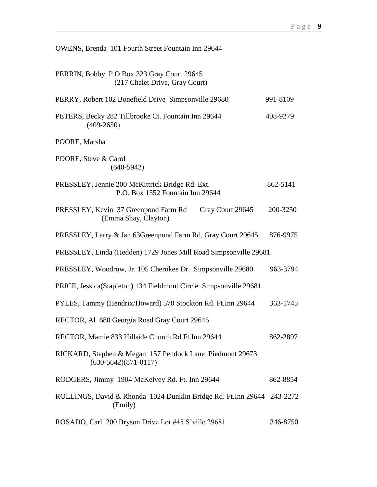| OWENS, Brenda 101 Fourth Street Fountain Inn 29644                                  |          |
|-------------------------------------------------------------------------------------|----------|
| PERRIN, Bobby P.O Box 323 Gray Court 29645<br>(217 Chalet Drive, Gray Court)        |          |
| PERRY, Robert 102 Bonefield Drive Simpsonville 29680                                | 991-8109 |
| PETERS, Becky 282 Tillbrooke Ct. Fountain Inn 29644<br>$(409 - 2650)$               | 408-9279 |
| POORE, Marsha                                                                       |          |
| POORE, Steve & Carol<br>$(640-5942)$                                                |          |
| PRESSLEY, Jennie 200 McKittrick Bridge Rd. Ext.<br>P.O. Box 1552 Fountain Inn 29644 | 862-5141 |
| PRESSLEY, Kevin 37 Greenpond Farm Rd<br>Gray Court 29645<br>(Emma Shay, Clayton)    | 200-3250 |
| PRESSLEY, Larry & Jan 63Greenpond Farm Rd. Gray Court 29645                         | 876-9975 |
| PRESSLEY, Linda (Hedden) 1729 Jones Mill Road Simpsonville 29681                    |          |
| PRESSLEY, Woodrow, Jr. 105 Cherokee Dr. Simpsonville 29680                          | 963-3794 |
| PRICE, Jessica(Stapleton) 134 Fieldmont Circle Simpsonville 29681                   |          |
| PYLES, Tammy (Hendrix/Howard) 570 Stockton Rd. Ft.Inn 29644                         | 363-1745 |
| RECTOR, Al 680 Georgia Road Gray Court 29645                                        |          |
| RECTOR, Mamie 833 Hillside Church Rd Ft.Inn 29644                                   | 862-2897 |
| RICKARD, Stephen & Megan 157 Pendock Lane Piedmont 29673<br>$(630-5642)(871-0117)$  |          |
| RODGERS, Jimmy 1904 McKelvey Rd. Ft. Inn 29644                                      | 862-8854 |
| ROLLINGS, David & Rhonda 1024 Dunklin Bridge Rd. Ft.Inn 29644 243-2272<br>(Emily)   |          |
| ROSADO, Carl 200 Bryson Drive Lot #45 S'ville 29681                                 | 346-8750 |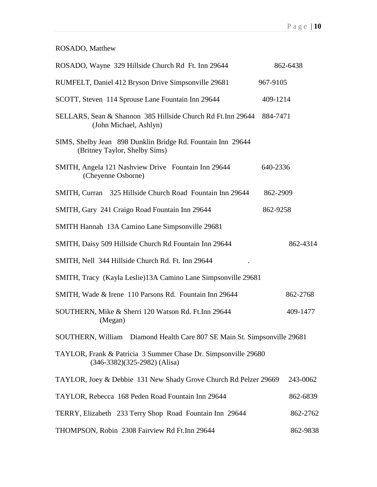## ROSADO, Matthew

| ROSADO, Wayne 329 Hillside Church Rd Ft. Inn 29644                                               | 862-6438 |
|--------------------------------------------------------------------------------------------------|----------|
| RUMFELT, Daniel 412 Bryson Drive Simpsonville 29681                                              | 967-9105 |
| SCOTT, Steven 114 Sprouse Lane Fountain Inn 29644                                                | 409-1214 |
| SELLARS, Sean & Shannon 385 Hillside Church Rd Ft.Inn 29644<br>(John Michael, Ashlyn)            | 884-7471 |
| SIMS, Shelby Jean 898 Dunklin Bridge Rd. Fountain Inn 29644<br>(Britney Taylor, Shelby Sims)     |          |
| SMITH, Angela 121 Nashview Drive Fountain Inn 29644<br>(Cheyenne Osborne)                        | 640-2336 |
| SMITH, Curran 325 Hillside Church Road Fountain Inn 29644                                        | 862-2909 |
| SMITH, Gary 241 Craigo Road Fountain Inn 29644                                                   | 862-9258 |
| SMITH Hannah 13A Camino Lane Simpsonville 29681                                                  |          |
| SMITH, Daisy 509 Hillside Church Rd Fountain Inn 29644                                           | 862-4314 |
| SMITH, Nell 344 Hillside Church Rd. Ft. Inn 29644                                                |          |
| SMITH, Tracy (Kayla Leslie)13A Camino Lane Simpsonville 29681                                    |          |
| SMITH, Wade & Irene 110 Parsons Rd. Fountain Inn 29644                                           | 862-2768 |
| SOUTHERN, Mike & Sherri 120 Watson Rd. Ft.Inn 29644<br>(Megan)                                   | 409-1477 |
| SOUTHERN, William Diamond Health Care 807 SE Main St. Simpsonville 29681                         |          |
| TAYLOR, Frank & Patricia 3 Summer Chase Dr. Simpsonville 29680<br>$(346-3382)(325-2982)$ (Alisa) |          |
| TAYLOR, Joey & Debbie 131 New Shady Grove Church Rd Pelzer 29669                                 | 243-0062 |
| TAYLOR, Rebecca 168 Peden Road Fountain Inn 29644                                                | 862-6839 |
| TERRY, Elizabeth 233 Terry Shop Road Fountain Inn 29644                                          | 862-2762 |
| THOMPSON, Robin 2308 Fairview Rd Ft.Inn 29644                                                    | 862-9838 |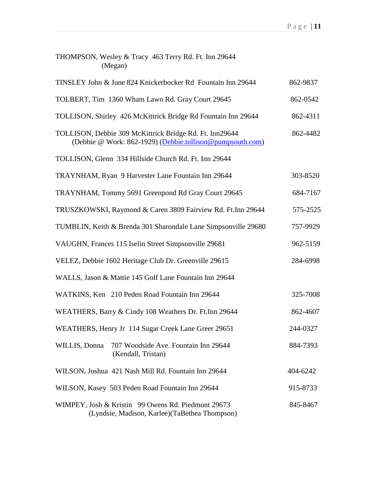| THOMPSON, Wesley & Tracy 463 Terry Rd. Ft. Inn 29644<br>(Megan)                                                      |          |
|----------------------------------------------------------------------------------------------------------------------|----------|
| TINSLEY John & June 824 Knickerbocker Rd Fountain Inn 29644                                                          | 862-9837 |
| TOLBERT, Tim 1360 Wham Lawn Rd. Gray Court 29645                                                                     | 862-0542 |
| TOLLISON, Shirley 426 McKittrick Bridge Rd Fountain Inn 29644                                                        | 862-4311 |
| TOLLISON, Debbie 309 McKittrick Bridge Rd. Ft. Inn29644<br>(Debbie @ Work: 862-1929) (Debbie.tollison@pumpsouth.com) | 862-4482 |
| TOLLISON, Glenn 334 Hillside Church Rd. Ft. Inn 29644                                                                |          |
| TRAYNHAM, Ryan 9 Harvester Lane Fountain Inn 29644                                                                   | 303-8520 |
| TRAYNHAM, Tommy 5691 Greenpond Rd Gray Court 29645                                                                   | 684-7167 |
| TRUSZKOWSKI, Raymond & Caren 3809 Fairview Rd. Ft.Inn 29644                                                          | 575-2525 |
| TUMBLIN, Keith & Brenda 301 Sharondale Lane Simpsonville 29680                                                       | 757-9929 |
| VAUGHN, Frances 115 Iselin Street Simpsonville 29681                                                                 | 962-5159 |
| VELEZ, Debbie 1602 Heritage Club Dr. Greenville 29615                                                                | 284-6998 |
| WALLS, Jason & Mattie 145 Golf Lane Fountain Inn 29644                                                               |          |
| WATKINS, Ken 210 Peden Road Fountain Inn 29644                                                                       | 325-7008 |
| WEATHERS, Barry & Cindy 108 Weathers Dr. Ft.Inn 29644                                                                | 862-4607 |
| WEATHERS, Henry Jr 114 Sugar Creek Lane Greer 29651                                                                  | 244-0327 |
| 707 Woodside Ave. Fountain Inn 29644<br>WILLIS, Donna<br>(Kendall, Tristan)                                          | 884-7393 |
| WILSON, Joshua 421 Nash Mill Rd. Fountain Inn 29644                                                                  | 404-6242 |
| WILSON, Kasey 503 Peden Road Fountain Inn 29644                                                                      | 915-8733 |
| WIMPEY, Josh & Kristin 99 Owens Rd. Piedmont 29673<br>(Lyndsie, Madison, Karlee) (TaBethea Thompson)                 | 845-8467 |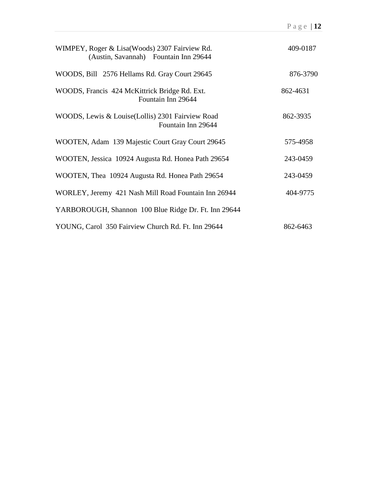| WIMPEY, Roger & Lisa (Woods) 2307 Fairview Rd.<br>(Austin, Savannah) Fountain Inn 29644 | 409-0187 |
|-----------------------------------------------------------------------------------------|----------|
| WOODS, Bill 2576 Hellams Rd. Gray Court 29645                                           | 876-3790 |
| WOODS, Francis 424 McKittrick Bridge Rd. Ext.<br>Fountain Inn 29644                     | 862-4631 |
| WOODS, Lewis & Louise (Lollis) 2301 Fairview Road<br>Fountain Inn 29644                 | 862-3935 |
| WOOTEN, Adam 139 Majestic Court Gray Court 29645                                        | 575-4958 |
| WOOTEN, Jessica 10924 Augusta Rd. Honea Path 29654                                      | 243-0459 |
| WOOTEN, Thea 10924 Augusta Rd. Honea Path 29654                                         | 243-0459 |
| WORLEY, Jeremy 421 Nash Mill Road Fountain Inn 26944                                    | 404-9775 |
| YARBOROUGH, Shannon 100 Blue Ridge Dr. Ft. Inn 29644                                    |          |
| YOUNG, Carol 350 Fairview Church Rd. Ft. Inn 29644                                      | 862-6463 |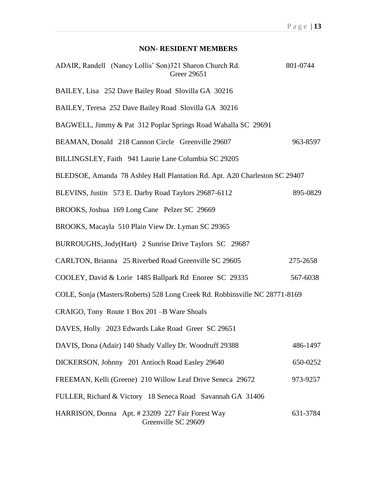## **NON- RESIDENT MEMBERS**

| ADAIR, Randell (Nancy Lollis' Son)321 Sharon Church Rd.<br>Greer 29651      | 801-0744 |  |
|-----------------------------------------------------------------------------|----------|--|
| BAILEY, Lisa 252 Dave Bailey Road Slovilla GA 30216                         |          |  |
| BAILEY, Teresa 252 Dave Bailey Road Slovilla GA 30216                       |          |  |
| BAGWELL, Jimmy & Pat 312 Poplar Springs Road Wahalla SC 29691               |          |  |
| BEAMAN, Donald 218 Cannon Circle Greenville 29607                           | 963-8597 |  |
| BILLINGSLEY, Faith 941 Laurie Lane Columbia SC 29205                        |          |  |
| BLEDSOE, Amanda 78 Ashley Hall Plantation Rd. Apt. A20 Charleston SC 29407  |          |  |
| BLEVINS, Justin 573 E. Darby Road Taylors 29687-6112                        | 895-0829 |  |
| BROOKS, Joshua 169 Long Cane Pelzer SC 29669                                |          |  |
| BROOKS, Macayla 510 Plain View Dr. Lyman SC 29365                           |          |  |
| BURROUGHS, Jody(Hart) 2 Sunrise Drive Taylors SC 29687                      |          |  |
| CARLTON, Brianna 25 Riverbed Road Greenville SC 29605                       | 275-2658 |  |
| COOLEY, David & Lorie 1485 Ballpark Rd Enoree SC 29335                      | 567-6038 |  |
| COLE, Sonja (Masters/Roberts) 528 Long Creek Rd. Robbinsville NC 28771-8169 |          |  |
| CRAIGO, Tony Route 1 Box 201 -B Ware Shoals                                 |          |  |
| DAVES, Holly 2023 Edwards Lake Road Greer SC 29651                          |          |  |
| DAVIS, Dona (Adair) 140 Shady Valley Dr. Woodruff 29388                     | 486-1497 |  |
| DICKERSON, Johnny 201 Antioch Road Easley 29640                             | 650-0252 |  |
| FREEMAN, Kelli (Greene) 210 Willow Leaf Drive Seneca 29672                  | 973-9257 |  |
| FULLER, Richard & Victory 18 Seneca Road Savannah GA 31406                  |          |  |
| HARRISON, Donna Apt. #23209 227 Fair Forest Way<br>Greenville SC 29609      | 631-3784 |  |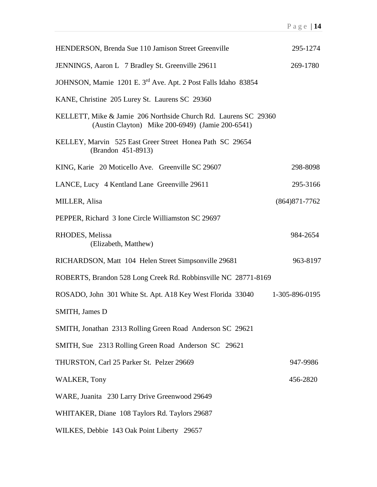| <b>HENDERSON, Brenda Sue 110 Jamison Street Greenville</b>                                                          | 295-1274          |
|---------------------------------------------------------------------------------------------------------------------|-------------------|
| JENNINGS, Aaron L 7 Bradley St. Greenville 29611                                                                    | 269-1780          |
| JOHNSON, Mamie 1201 E. 3 <sup>rd</sup> Ave. Apt. 2 Post Falls Idaho 83854                                           |                   |
| KANE, Christine 205 Lurey St. Laurens SC 29360                                                                      |                   |
| KELLETT, Mike & Jamie 206 Northside Church Rd. Laurens SC 29360<br>(Austin Clayton) Mike 200-6949) (Jamie 200-6541) |                   |
| KELLEY, Marvin 525 East Greer Street Honea Path SC 29654<br>(Brandon 451-8913)                                      |                   |
| KING, Karie 20 Moticello Ave. Greenville SC 29607                                                                   | 298-8098          |
| LANCE, Lucy 4 Kentland Lane Greenville 29611                                                                        | 295-3166          |
| MILLER, Alisa                                                                                                       | $(864)871 - 7762$ |
| PEPPER, Richard 3 Ione Circle Williamston SC 29697                                                                  |                   |
| RHODES, Melissa<br>(Elizabeth, Matthew)                                                                             | 984-2654          |
| RICHARDSON, Matt 104 Helen Street Simpsonville 29681                                                                | 963-8197          |
| ROBERTS, Brandon 528 Long Creek Rd. Robbinsville NC 28771-8169                                                      |                   |
| ROSADO, John 301 White St. Apt. A18 Key West Florida 33040                                                          | 1-305-896-0195    |
| <b>SMITH, James D</b>                                                                                               |                   |
| SMITH, Jonathan 2313 Rolling Green Road Anderson SC 29621                                                           |                   |
| SMITH, Sue 2313 Rolling Green Road Anderson SC 29621                                                                |                   |
| THURSTON, Carl 25 Parker St. Pelzer 29669                                                                           | 947-9986          |
| <b>WALKER, Tony</b>                                                                                                 | 456-2820          |
| WARE, Juanita 230 Larry Drive Greenwood 29649                                                                       |                   |
| WHITAKER, Diane 108 Taylors Rd. Taylors 29687                                                                       |                   |
| WILKES, Debbie 143 Oak Point Liberty 29657                                                                          |                   |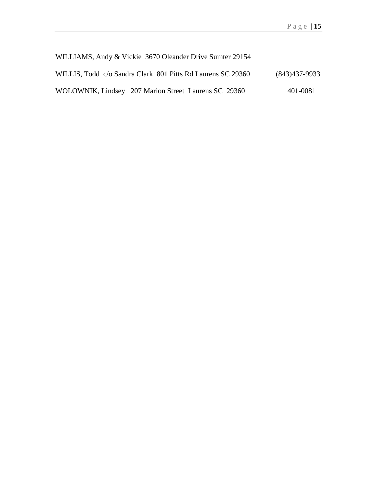| WILLIAMS, Andy & Vickie 3670 Oleander Drive Sumter 29154    |                 |
|-------------------------------------------------------------|-----------------|
| WILLIS, Todd c/o Sandra Clark 801 Pitts Rd Laurens SC 29360 | $(843)437-9933$ |
| WOLOWNIK, Lindsey 207 Marion Street Laurens SC 29360        | 401-0081        |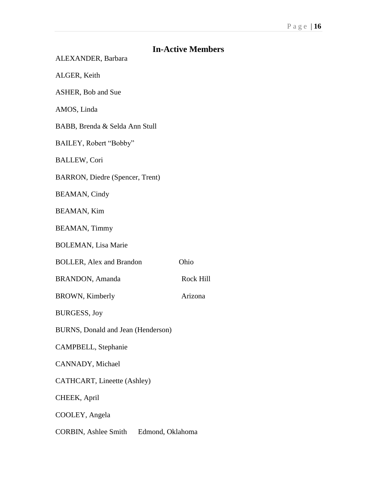|                                           | <b>In-Active Members</b>                 |  |  |
|-------------------------------------------|------------------------------------------|--|--|
| ALEXANDER, Barbara                        |                                          |  |  |
| ALGER, Keith                              |                                          |  |  |
| <b>ASHER, Bob and Sue</b>                 |                                          |  |  |
| AMOS, Linda                               |                                          |  |  |
| BABB, Brenda & Selda Ann Stull            |                                          |  |  |
| BAILEY, Robert "Bobby"                    |                                          |  |  |
| <b>BALLEW, Cori</b>                       |                                          |  |  |
| <b>BARRON, Diedre (Spencer, Trent)</b>    |                                          |  |  |
| <b>BEAMAN, Cindy</b>                      |                                          |  |  |
| <b>BEAMAN, Kim</b>                        |                                          |  |  |
| <b>BEAMAN, Timmy</b>                      |                                          |  |  |
| <b>BOLEMAN, Lisa Marie</b>                |                                          |  |  |
| <b>BOLLER, Alex and Brandon</b>           | Ohio                                     |  |  |
| <b>BRANDON</b> , Amanda                   | Rock Hill                                |  |  |
| <b>BROWN, Kimberly</b>                    | Arizona                                  |  |  |
| <b>BURGESS, Joy</b>                       |                                          |  |  |
| <b>BURNS, Donald and Jean (Henderson)</b> |                                          |  |  |
| CAMPBELL, Stephanie                       |                                          |  |  |
| CANNADY, Michael                          |                                          |  |  |
| <b>CATHCART, Lineette (Ashley)</b>        |                                          |  |  |
| CHEEK, April                              |                                          |  |  |
| COOLEY, Angela                            |                                          |  |  |
|                                           | CORBIN, Ashlee Smith<br>Edmond, Oklahoma |  |  |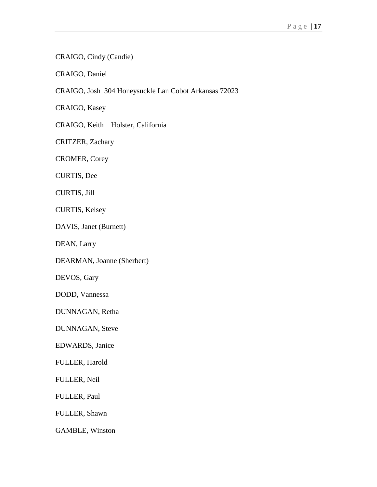CRAIGO, Cindy (Candie)

CRAIGO, Daniel

CRAIGO, Josh 304 Honeysuckle Lan Cobot Arkansas 72023

CRAIGO, Kasey

CRAIGO, Keith Holster, California

CRITZER, Zachary

CROMER, Corey

CURTIS, Dee

CURTIS, Jill

CURTIS, Kelsey

DAVIS, Janet (Burnett)

DEAN, Larry

DEARMAN, Joanne (Sherbert)

DEVOS, Gary

DODD, Vannessa

DUNNAGAN, Retha

DUNNAGAN, Steve

EDWARDS, Janice

FULLER, Harold

FULLER, Neil

FULLER, Paul

FULLER, Shawn

GAMBLE, Winston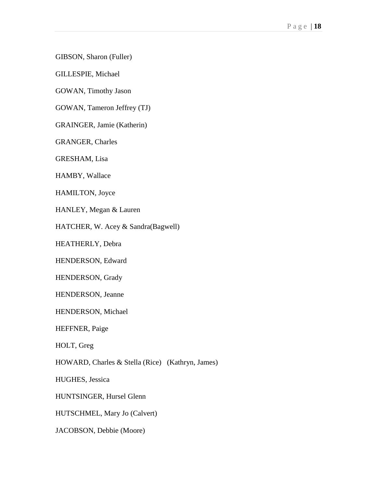GIBSON, Sharon (Fuller)

GILLESPIE, Michael

GOWAN, Timothy Jason

GOWAN, Tameron Jeffrey (TJ)

GRAINGER, Jamie (Katherin)

GRANGER, Charles

GRESHAM, Lisa

HAMBY, Wallace

HAMILTON, Joyce

HANLEY, Megan & Lauren

HATCHER, W. Acey & Sandra(Bagwell)

HEATHERLY, Debra

HENDERSON, Edward

HENDERSON, Grady

HENDERSON, Jeanne

HENDERSON, Michael

HEFFNER, Paige

HOLT, Greg

HOWARD, Charles & Stella (Rice) (Kathryn, James)

HUGHES, Jessica

HUNTSINGER, Hursel Glenn

HUTSCHMEL, Mary Jo (Calvert)

JACOBSON, Debbie (Moore)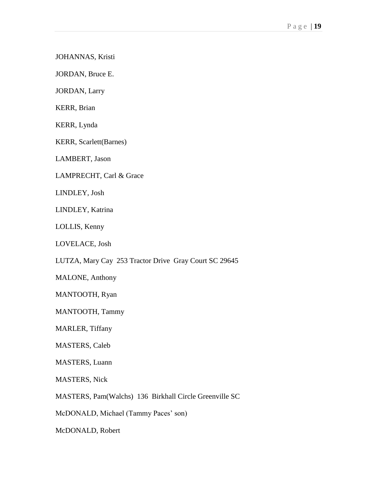JOHANNAS, Kristi

JORDAN, Bruce E.

JORDAN, Larry

KERR, Brian

KERR, Lynda

KERR, Scarlett(Barnes)

LAMBERT, Jason

LAMPRECHT, Carl & Grace

LINDLEY, Josh

LINDLEY, Katrina

LOLLIS, Kenny

LOVELACE, Josh

LUTZA, Mary Cay 253 Tractor Drive Gray Court SC 29645

MALONE, Anthony

MANTOOTH, Ryan

MANTOOTH, Tammy

MARLER, Tiffany

MASTERS, Caleb

MASTERS, Luann

MASTERS, Nick

MASTERS, Pam(Walchs) 136 Birkhall Circle Greenville SC

McDONALD, Michael (Tammy Paces' son)

McDONALD, Robert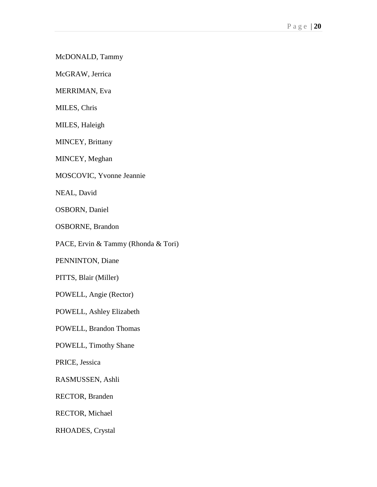McDONALD, Tammy

McGRAW, Jerrica

MERRIMAN, Eva

MILES, Chris

MILES, Haleigh

MINCEY, Brittany

MINCEY, Meghan

MOSCOVIC, Yvonne Jeannie

NEAL, David

OSBORN, Daniel

OSBORNE, Brandon

PACE, Ervin & Tammy (Rhonda & Tori)

PENNINTON, Diane

PITTS, Blair (Miller)

POWELL, Angie (Rector)

POWELL, Ashley Elizabeth

POWELL, Brandon Thomas

POWELL, Timothy Shane

PRICE, Jessica

RASMUSSEN, Ashli

RECTOR, Branden

RECTOR, Michael

RHOADES, Crystal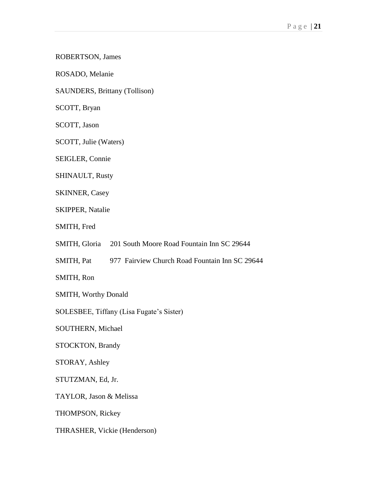ROBERTSON, James

ROSADO, Melanie

SAUNDERS, Brittany (Tollison)

SCOTT, Bryan

SCOTT, Jason

SCOTT, Julie (Waters)

SEIGLER, Connie

SHINAULT, Rusty

SKINNER, Casey

SKIPPER, Natalie

SMITH, Fred

SMITH, Gloria 201 South Moore Road Fountain Inn SC 29644

SMITH, Pat 977 Fairview Church Road Fountain Inn SC 29644

SMITH, Ron

SMITH, Worthy Donald

SOLESBEE, Tiffany (Lisa Fugate's Sister)

SOUTHERN, Michael

STOCKTON, Brandy

STORAY, Ashley

STUTZMAN, Ed, Jr.

TAYLOR, Jason & Melissa

THOMPSON, Rickey

THRASHER, Vickie (Henderson)